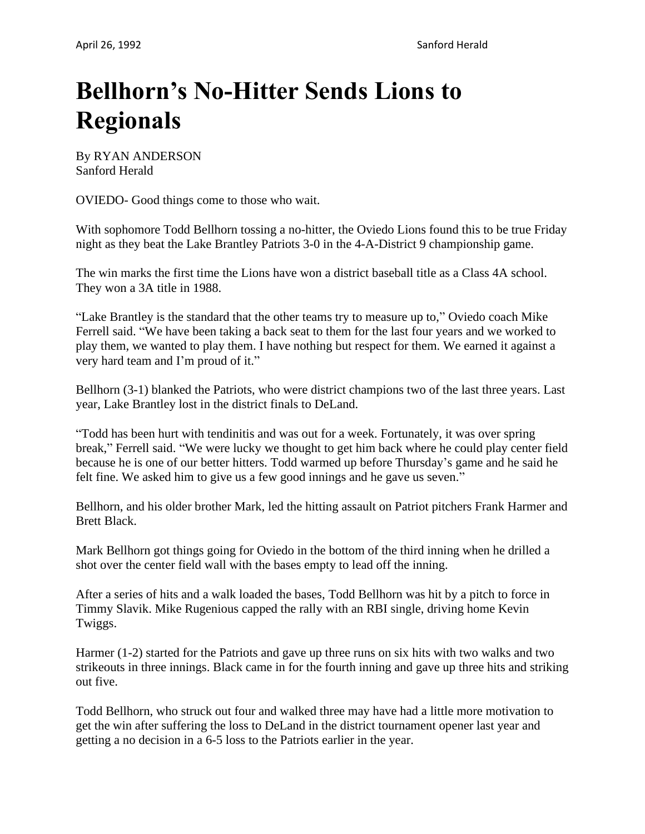## **Bellhorn's No-Hitter Sends Lions to Regionals**

By RYAN ANDERSON Sanford Herald

OVIEDO- Good things come to those who wait.

With sophomore Todd Bellhorn tossing a no-hitter, the Oviedo Lions found this to be true Friday night as they beat the Lake Brantley Patriots 3-0 in the 4-A-District 9 championship game.

The win marks the first time the Lions have won a district baseball title as a Class 4A school. They won a 3A title in 1988.

"Lake Brantley is the standard that the other teams try to measure up to," Oviedo coach Mike Ferrell said. "We have been taking a back seat to them for the last four years and we worked to play them, we wanted to play them. I have nothing but respect for them. We earned it against a very hard team and I'm proud of it."

Bellhorn (3-1) blanked the Patriots, who were district champions two of the last three years. Last year, Lake Brantley lost in the district finals to DeLand.

"Todd has been hurt with tendinitis and was out for a week. Fortunately, it was over spring break," Ferrell said. "We were lucky we thought to get him back where he could play center field because he is one of our better hitters. Todd warmed up before Thursday's game and he said he felt fine. We asked him to give us a few good innings and he gave us seven."

Bellhorn, and his older brother Mark, led the hitting assault on Patriot pitchers Frank Harmer and Brett Black.

Mark Bellhorn got things going for Oviedo in the bottom of the third inning when he drilled a shot over the center field wall with the bases empty to lead off the inning.

After a series of hits and a walk loaded the bases, Todd Bellhorn was hit by a pitch to force in Timmy Slavik. Mike Rugenious capped the rally with an RBI single, driving home Kevin Twiggs.

Harmer (1-2) started for the Patriots and gave up three runs on six hits with two walks and two strikeouts in three innings. Black came in for the fourth inning and gave up three hits and striking out five.

Todd Bellhorn, who struck out four and walked three may have had a little more motivation to get the win after suffering the loss to DeLand in the district tournament opener last year and getting a no decision in a 6-5 loss to the Patriots earlier in the year.